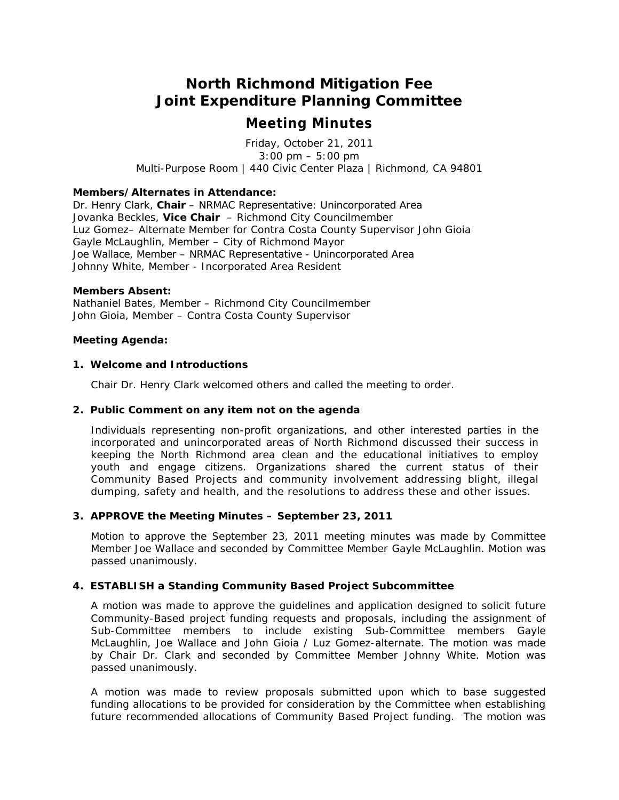# **North Richmond Mitigation Fee Joint Expenditure Planning Committee**

## *Meeting Minutes*

Friday, October 21, 2011 3:00 pm – 5:00 pm Multi-Purpose Room | 440 Civic Center Plaza | Richmond, CA 94801

#### **Members/Alternates in Attendance:**

Dr. Henry Clark, **Chair** – NRMAC Representative: Unincorporated Area Jovanka Beckles, **Vice Chair** – Richmond City Councilmember Luz Gomez– Alternate Member for Contra Costa County Supervisor John Gioia Gayle McLaughlin, Member – City of Richmond Mayor Joe Wallace, Member – NRMAC Representative - Unincorporated Area Johnny White, Member - Incorporated Area Resident

#### **Members Absent:**

Nathaniel Bates, Member – Richmond City Councilmember John Gioia, Member – Contra Costa County Supervisor

#### **Meeting Agenda:**

#### **1. Welcome and Introductions**

Chair Dr. Henry Clark welcomed others and called the meeting to order.

#### **2. Public Comment on any item not on the agenda**

Individuals representing non-profit organizations, and other interested parties in the incorporated and unincorporated areas of North Richmond discussed their success in keeping the North Richmond area clean and the educational initiatives to employ youth and engage citizens. Organizations shared the current status of their Community Based Projects and community involvement addressing blight, illegal dumping, safety and health, and the resolutions to address these and other issues.

## **3. APPROVE the Meeting Minutes – September 23, 2011**

Motion to approve the September 23, 2011 meeting minutes was made by Committee Member Joe Wallace and seconded by Committee Member Gayle McLaughlin. *Motion was passed unanimously.*

## **4. ESTABLISH a Standing Community Based Project Subcommittee**

A motion was made to approve the guidelines and application designed to solicit future Community-Based project funding requests and proposals, including the assignment of Sub-Committee members to include existing Sub-Committee members Gayle McLaughlin, Joe Wallace and John Gioia / Luz Gomez-alternate. The motion was made by Chair Dr. Clark and seconded by Committee Member Johnny White. *Motion was passed unanimously.*

A motion was made to review proposals submitted upon which to base suggested funding allocations to be provided for consideration by the Committee when establishing future recommended allocations of Community Based Project funding. The motion was